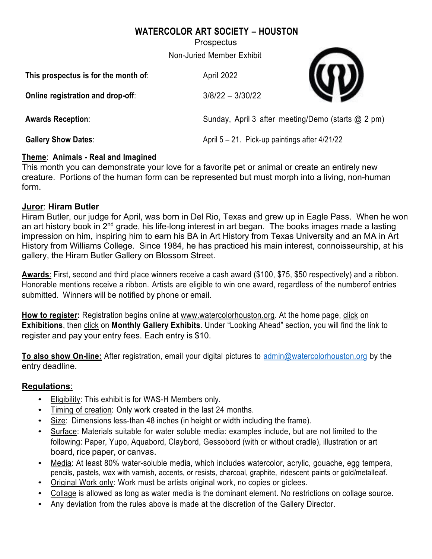# **WATERCOLOR ART SOCIETY – HOUSTON**

**Prospectus** 

Non-Juried Member Exhibit

| This prospectus is for the month of: | April 2022                                         |  |
|--------------------------------------|----------------------------------------------------|--|
| Online registration and drop-off:    | $3/8/22 - 3/30/22$                                 |  |
| <b>Awards Reception:</b>             | Sunday, April 3 after meeting/Demo (starts @ 2 pm) |  |
| <b>Gallery Show Dates:</b>           | April $5 - 21$ . Pick-up paintings after $4/21/22$ |  |

## **Theme**: **Animals - Real and Imagined**

This month you can demonstrate your love for a favorite pet or animal or create an entirely new creature. Portions of the human form can be represented but must morph into a living, non-human form.

### **Juror**: **Hiram Butler**

Hiram Butler, our judge for April, was born in Del Rio, Texas and grew up in Eagle Pass. When he won an art history book in  $2<sup>nd</sup>$  grade, his life-long interest in art began. The books images made a lasting impression on him, inspiring him to earn his BA in Art History from Texas University and an MA in Art History from Williams College. Since 1984, he has practiced his main interest, connoisseurship, at his gallery, the Hiram Butler Gallery on Blossom Street.

**Awards**: First, second and third place winners receive a cash award (\$100, \$75, \$50 respectively) and a ribbon. Honorable mentions receive a ribbon. Artists are eligible to win one award, regardless of the numberof entries submitted. Winners will be notified by phone or email.

**How to register:** Registration begins online at www.watercolorhouston.org. At the home page, click on **Exhibitions**, then click on Monthly Gallery Exhibits. Under "Looking Ahead" section, you will find the link to register and pay your entry fees. Each entry is \$10.

**To also show On-line:** After registration, email your digital pictures to admin@watercolorhouston.org by the entry deadline.

## **Regulations**:

- Eligibility: This exhibit is for WAS-H Members only.
- Timing of creation: Only work created in the last 24 months.
- Size: Dimensions less-than 48 inches (in height or width including the frame).
- Surface: Materials suitable for water soluble media: examples include, but are not limited to the following: Paper, Yupo, Aquabord, Claybord, Gessobord (with or without cradle), illustration or art board, rice paper, or canvas.
- Media: At least 80% water-soluble media, which includes watercolor, acrylic, gouache, egg tempera, pencils, pastels, wax with varnish, accents, or resists, charcoal, graphite, iridescent paints or gold/metalleaf.
- Original Work only: Work must be artists original work, no copies or giclees.
- Collage is allowed as long as water media is the dominant element. No restrictions on collage source.
- Any deviation from the rules above is made at the discretion of the Gallery Director.